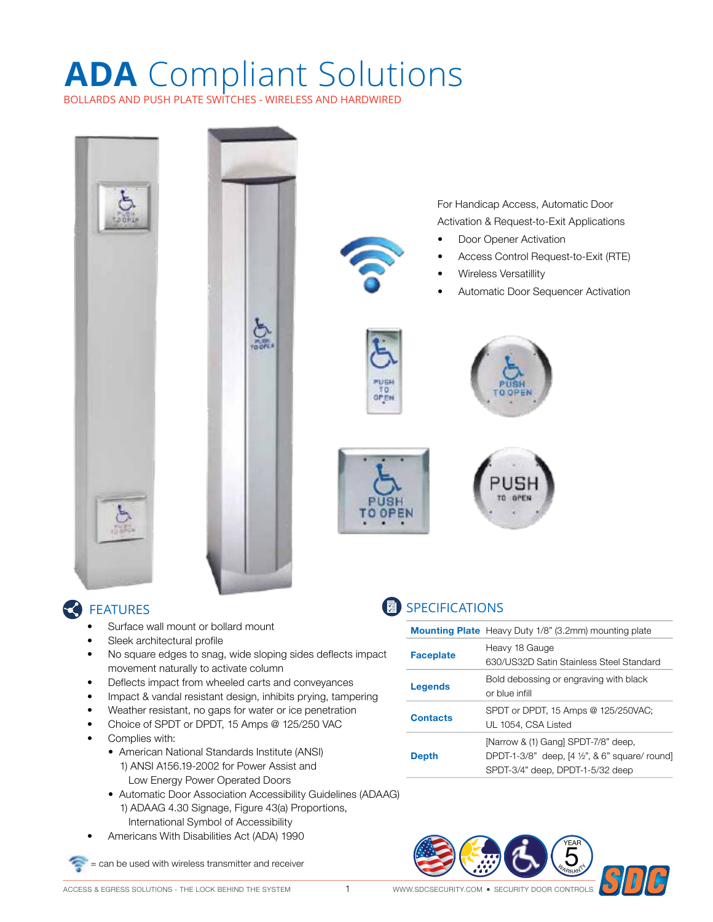### **ADA** Compliant Solutions BOLLARDS AND PUSH PLATE SWITCHES - WIRELESS AND HARDWIRED



#### **C** FEATURES

- Surface wall mount or bollard mount
- Sleek architectural profile
- No square edges to snag, wide sloping sides deflects impact movement naturally to activate column
- Deflects impact from wheeled carts and conveyances
- Impact & vandal resistant design, inhibits prying, tampering
- Weather resistant, no gaps for water or ice penetration
- Choice of SPDT or DPDT, 15 Amps @ 125/250 VAC
- Complies with:
	- American National Standards Institute (ANSI) 1) ANSI A156.19-2002 for Power Assist and Low Energy Power Operated Doors
	- Automatic Door Association Accessibility Guidelines (ADAAG) 1) ADAAG 4.30 Signage, Figure 43(a) Proportions, International Symbol of Accessibility
- Americans With Disabilities Act (ADA) 1990

= can be used with wireless transmitter and receiver

**图 SPECIFICATIONS** 

**Depth**

**Faceplate** Heavy 18 Gauge

**Mounting Plate** Heavy Duty 1/8" (3.2mm) mounting plate

**Legends** Bold debossing or engraving with black

**Contacts** SPDT or DPDT, 15 Amps @ 125/250VAC; UL 1054, CSA Listed

or blue infill

630/US32D Satin Stainless Steel Standard

[Narrow & (1) Gang] SPDT-7/8" deep,

SPDT-3/4" deep, DPDT-1-5/32 deep

DPDT-1-3/8" deep, [4 ½", & 6" square/ round]

**WARRANTY** 

YEAR 5

![](_page_0_Picture_16.jpeg)

WWW.SDCSECURITY.COM ■ SECURITY DOOR CONTROLS ACCESS & EGRESS SOLUTIONS - THE LOCK BEHIND THE SYSTEM 1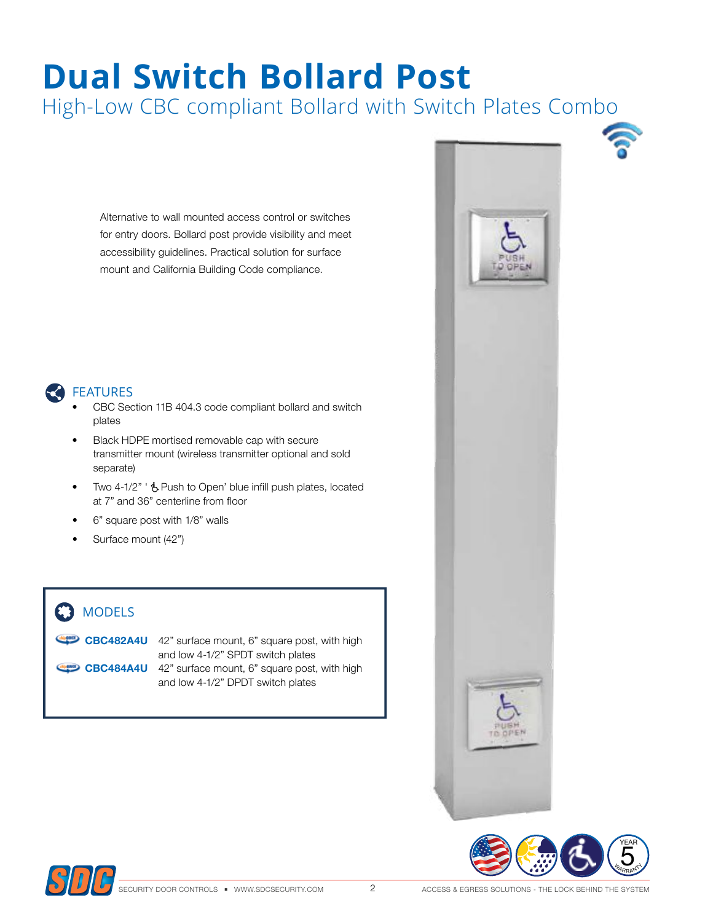# **Dual Switch Bollard Post**

High-Low CBC compliant Bollard with Switch Plates Combo

Alternative to wall mounted access control or switches for entry doors. Bollard post provide visibility and meet accessibility guidelines. Practical solution for surface mount and California Building Code compliance.

![](_page_1_Picture_3.jpeg)

#### FEATURES

- CBC Section 11B 404.3 code compliant bollard and switch plates
- Black HDPE mortised removable cap with secure transmitter mount (wireless transmitter optional and sold separate)
- Two 4-1/2" '  $\dot{\mathbf{b}}$  Push to Open' blue infill push plates, located at 7" and 36" centerline from floor
- 6" square post with 1/8" walls
- Surface mount (42")

### **C3** MODELS

**CBC482A4U** 42" surface mount, 6" square post, with high and low 4-1/2" SPDT switch plates **CBC484A4U** 42" surface mount, 6" square post, with high and low 4-1/2" DPDT switch plates

![](_page_1_Picture_13.jpeg)

![](_page_1_Picture_14.jpeg)

![](_page_1_Picture_15.jpeg)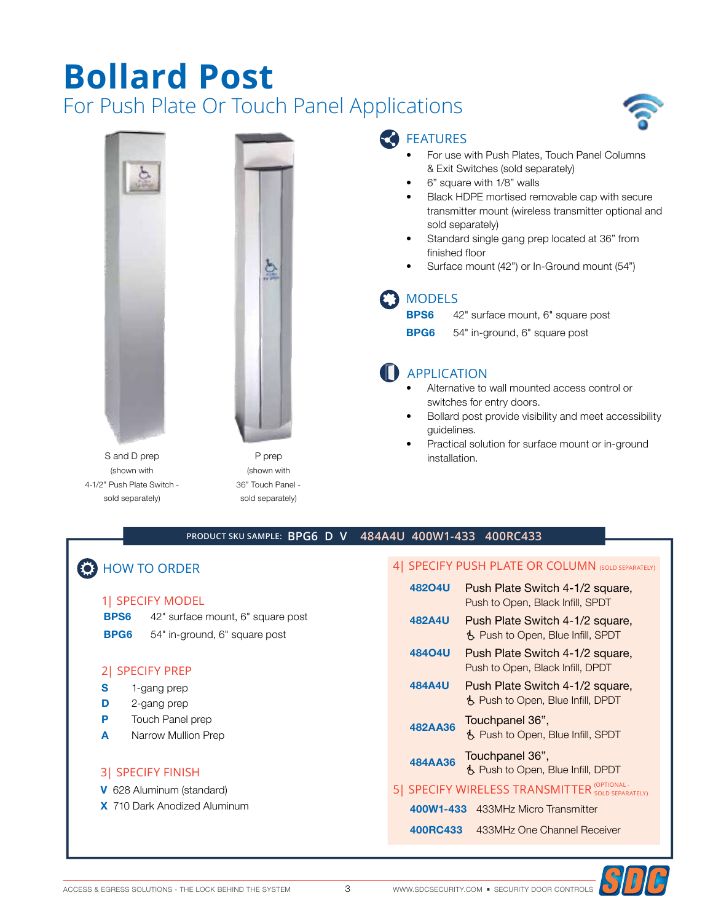## **Bollard Post** For Push Plate Or Touch Panel Applications

![](_page_2_Picture_1.jpeg)

![](_page_2_Picture_2.jpeg)

S and D prep (shown with 4-1/2" Push Plate Switch sold separately)

![](_page_2_Picture_4.jpeg)

ğ,

#### FEATURES

- For use with Push Plates, Touch Panel Columns & Exit Switches (sold separately)
- 6" square with 1/8" walls
- Black HDPE mortised removable cap with secure transmitter mount (wireless transmitter optional and sold separately)
- Standard single gang prep located at 36" from finished floor
- Surface mount (42") or In-Ground mount (54")

#### **MODELS**

- **BPS6** 42" surface mount, 6" square post
- **BPG6** 54" in-ground, 6" square post

### **D** APPLICATION

- Alternative to wall mounted access control or switches for entry doors.
- Bollard post provide visibility and meet accessibility guidelines.
- Practical solution for surface mount or in-ground installation.

#### **PRODUCT SKU SAMPLE: BPG6 D V 484A4U 400W1-433 400RC433**

### **B** HOW TO ORDER

#### 1| SPECIFY MODEL

- **BPS6** 42" surface mount, 6" square post
- **BPG6** 54" in-ground, 6" square post

#### 2| SPECIFY PREP

- **S** 1-gang prep
- **D** 2-gang prep
- **P** Touch Panel prep
- **A** Narrow Mullion Prep

#### 3| SPECIFY FINISH

- **V** 628 Aluminum (standard)
- **X** 710 Dark Anodized Aluminum

#### 4 SPECIFY PUSH PLATE OR COLUMN (SOLD SEPARATELY)

- **482O4U** Push Plate Switch 4-1/2 square, Push to Open, Black Infill, SPDT
- **482A4U** Push Plate Switch 4-1/2 square, Ë Push to Open, Blue Infill, SPDT
- **484O4U** Push Plate Switch 4-1/2 square, Push to Open, Black Infill, DPDT
- **484A4U** Push Plate Switch 4-1/2 square, Ë Push to Open, Blue Infill, DPDT
- **482AA36** Touchpanel 36", Ë Push to Open, Blue Infill, SPDT
- **484AA36** Touchpanel 36", Ë Push to Open, Blue Infill, DPDT
- 5 SPECIFY WIRELESS TRANSMITTER SOLD SEPARATELY)
	- **400W1-433** 433MHz Micro Transmitter
	- **400RC433** 433MHz One Channel Receiver

![](_page_2_Picture_41.jpeg)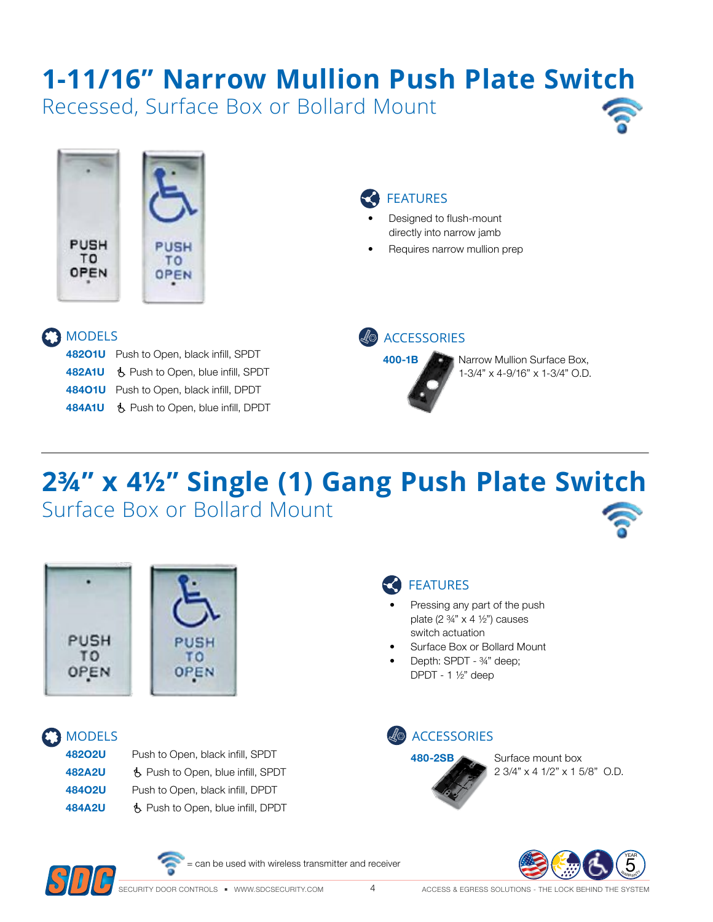# **1-11/16" Narrow Mullion Push Plate Switch**

Recessed, Surface Box or Bollard Mount

![](_page_3_Picture_2.jpeg)

![](_page_3_Picture_3.jpeg)

- Designed to flush-mount directly into narrow jamb
- Requires narrow mullion prep

#### **C** MODELS

| 48201U Push to Open, black infill, SPDT   |  |
|-------------------------------------------|--|
| 482A1U 6 Push to Open, blue infill, SPDT  |  |
| 48401U Push to Open, black infill, DPDT   |  |
| 484A1U \$ Push to Open, blue infill, DPDT |  |

![](_page_3_Figure_8.jpeg)

**400-1B Narrow Mullion Surface Box,** 1-3/4" x 4-9/16" x 1-3/4" O.D.

# **2¾" x 4½" Single (1) Gang Push Plate Switch** Surface Box or Bollard Mount

![](_page_3_Picture_11.jpeg)

![](_page_3_Picture_12.jpeg)

#### Pressing any part of the push plate  $(2 \frac{3}{4} x 4 \frac{1}{2})$  causes

- switch actuation Surface Box or Bollard Mount
- Depth: SPDT ¾" deep; DPDT - 1 ½" deep

FEATURES

### **C3** MODELS

| 48202U        | Push to Open, black infill, SPDT  |
|---------------|-----------------------------------|
| <b>482A2U</b> | も Push to Open, blue infill, SPDT |
| 48402U        | Push to Open, black infill, DPDT  |
| <b>484A2U</b> | も Push to Open, blue infill, DPDT |

![](_page_3_Picture_18.jpeg)

2 3/4" x 4 1/2" x 1 5/8" O.D.

![](_page_3_Picture_20.jpeg)

![](_page_3_Picture_21.jpeg)

= can be used with wireless transmitter and receiver

![](_page_3_Picture_23.jpeg)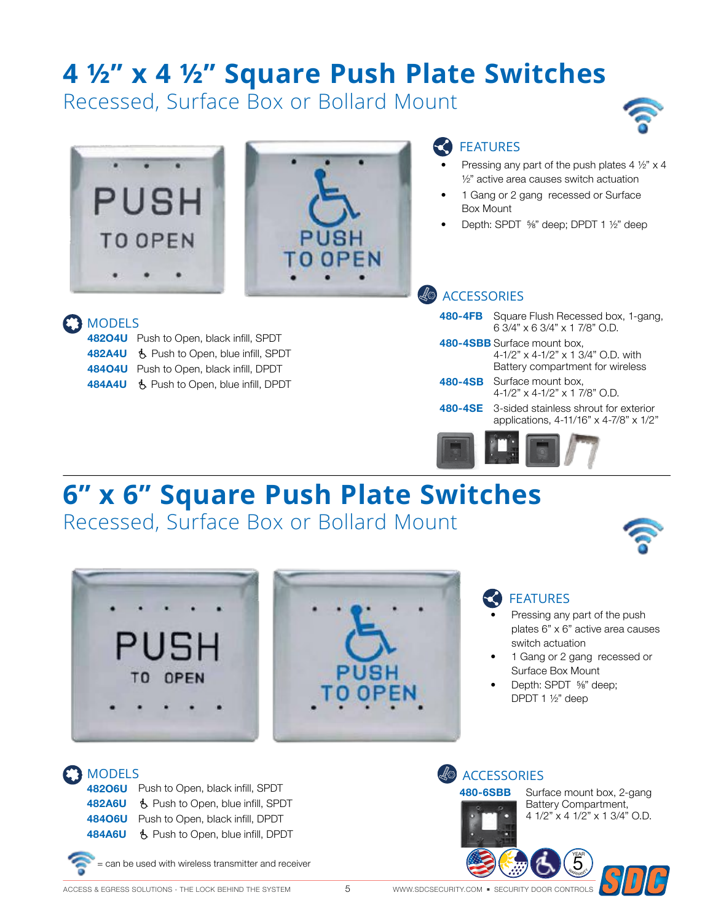# **4 ½" x 4 ½" Square Push Plate Switches**

Recessed, Surface Box or Bollard Mount

![](_page_4_Picture_2.jpeg)

![](_page_4_Picture_3.jpeg)

**MODELS** 

![](_page_4_Picture_4.jpeg)

#### FEATURES

- Pressing any part of the push plates  $4\frac{1}{2}$  x 4 ½" active area causes switch actuation
- 1 Gang or 2 gang recessed or Surface Box Mount
- Depth: SPDT ⅝" deep; DPDT 1 ½" deep

#### **ACCESSORIES**

| 480-4FB | Square Flush Recessed box, 1-gang,<br>63/4" x 63/4" x 17/8" O.D.                                      |
|---------|-------------------------------------------------------------------------------------------------------|
|         | 480-4SBB Surface mount box,<br>4-1/2" x 4-1/2" x 1 3/4" O.D. with<br>Battery compartment for wireless |
| 480-4SB | Surface mount box,<br>$4-1/2$ " x $4-1/2$ " x 1 7/8" O.D.                                             |
| 480-4SE | 3-sided stainless shrout for exterior<br>applications, 4-11/16" x 4-7/8" x 1/2"                       |
|         |                                                                                                       |

**482O4U** Push to Open, black infill, SPDT 482A4U **&** Push to Open, blue infill, SPDT **484O4U** Push to Open, black infill, DPDT **484A4U** も Push to Open, blue infill, DPDT

# **6" x 6" Square Push Plate Switches**

Recessed, Surface Box or Bollard Mount

![](_page_4_Picture_14.jpeg)

![](_page_4_Picture_15.jpeg)

#### FEATURES

- Pressing any part of the push plates 6" x 6" active area causes switch actuation
- 1 Gang or 2 gang recessed or Surface Box Mount
- Depth: SPDT ⅝" deep; DPDT 1 ½" deep

### MODELS

**482O6U** Push to Open, black infill, SPDT **482A6U** Ë Push to Open, blue infill, SPDT **484O6U** Push to Open, black infill, DPDT **484A6U** Ë Push to Open, blue infill, DPDT

![](_page_4_Picture_22.jpeg)

= can be used with wireless transmitter and receiver

**ACCESSORIES** 

![](_page_4_Picture_25.jpeg)

**480-6SBB** Surface mount box, 2-gang Battery Compartment, 4 1/2" x 4 1/2" x 1 3/4" O.D.

> **WARRANTY** YEAR 5

![](_page_4_Picture_27.jpeg)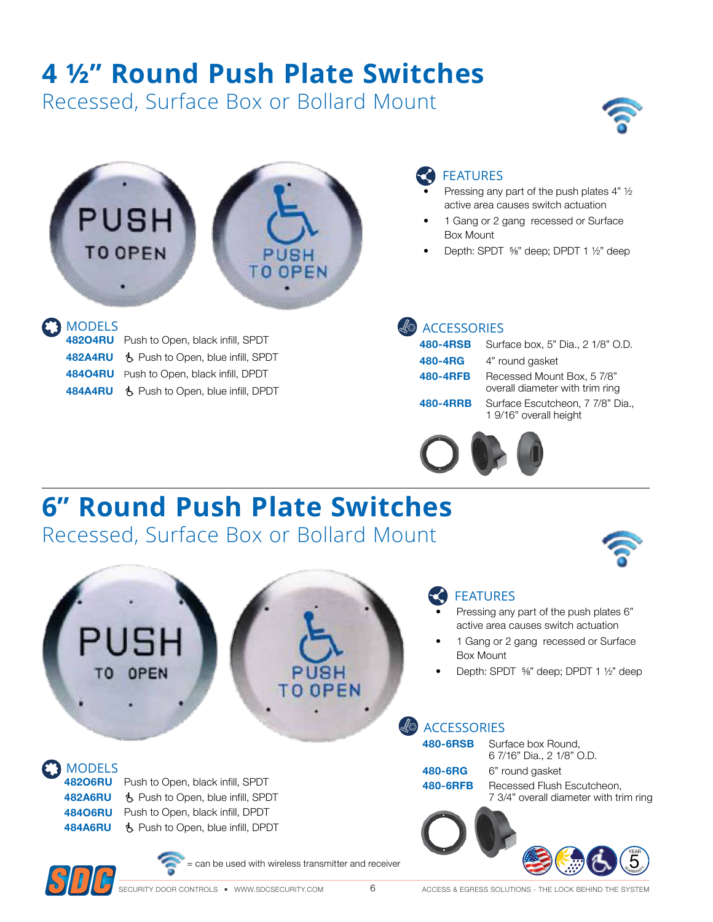# **4 ½" Round Push Plate Switches**

Recessed, Surface Box or Bollard Mount

![](_page_5_Picture_2.jpeg)

![](_page_5_Picture_3.jpeg)

| 48204RU Push to Open, black infill, SPDT   |
|--------------------------------------------|
| 482A4RU \$ Push to Open, blue infill, SPDT |
| 48404RU Push to Open, black infill, DPDT   |
| 484A4RU & Push to Open, blue infill, DPDT  |

### FEATURES

- Pressing any part of the push plates  $4"$   $\frac{1}{2}$ active area causes switch actuation
- 1 Gang or 2 gang recessed or Surface Box Mount
- Depth: SPDT ⅝" deep; DPDT 1 ½" deep

| 480-4RSB | Sι     |
|----------|--------|
| 480-4RG  | 4"     |
| 480-4RFB | R٤     |
|          | $\sim$ |

**480-4RSB** Surface box, 5" Dia., 2 1/8" O.D. round gasket **480-480 ADDER** Box, 5 7/8" overall diameter with trim ring

**480-4RRB** Surface Escutcheon, 7 7/8" Dia., 1 9/16" overall height

![](_page_5_Picture_15.jpeg)

# **6" Round Push Plate Switches**

Recessed, Surface Box or Bollard Mount

![](_page_5_Picture_18.jpeg)

**WARRANT** YEAR 5

#### FEATURES

- Pressing any part of the push plates 6" active area causes switch actuation
- 1 Gang or 2 gang recessed or Surface Box Mount
- Depth: SPDT ⅝" deep; DPDT 1 ½" deep

#### ACCESSORIES

| 480-6RSB | Surface box Round,<br>6 7/16" Dia., 2 1/8" O.D.                      |
|----------|----------------------------------------------------------------------|
| 480-6RG  | 6" round gasket                                                      |
| 480-6RFB | Recessed Flush Escutcheon,<br>7 3/4" overall diameter with trim ring |
|          |                                                                      |

![](_page_5_Picture_25.jpeg)

MODELS

![](_page_5_Picture_26.jpeg)

**482O6RU** Push to Open, black infill, SPDT **482A6RU** も Push to Open, blue infill, SPDT **484O6RU** Push to Open, black infill, DPDT **484A6RU** Ë Push to Open, blue infill, DPDT

OPEN

= can be used with wireless transmitter and receiver

**JSH TO OPEN** 

6 ACCESS & EGRESS SOLUTIONS - THE LOCK BEHIND THE SYSTEM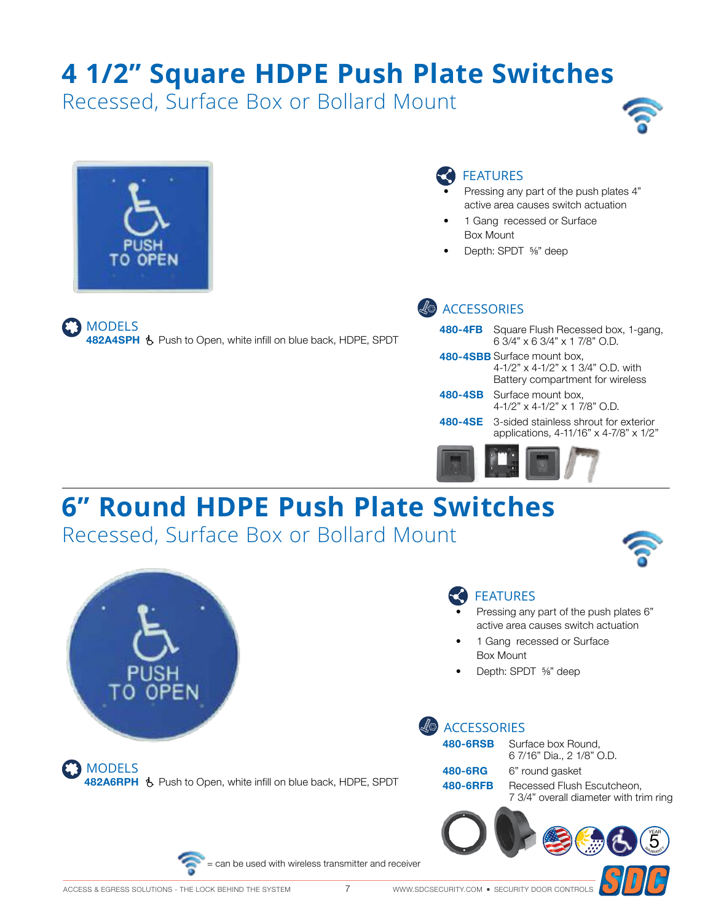# **4 1/2" Square HDPE Push Plate Switches**

Recessed, Surface Box or Bollard Mount

![](_page_6_Picture_2.jpeg)

![](_page_6_Picture_3.jpeg)

MODELS

**482A4SPH** Ë Push to Open, white infill on blue back, HDPE, SPDT

### FEATURES

- Pressing any part of the push plates 4" active area causes switch actuation
- 1 Gang recessed or Surface Box Mount
- Depth: SPDT ⅝" deep

### ACCESSORIES

| <b>480-4FB</b> Square Flush Recessed box, 1-gang,<br>6.3/4" x 6.3/4" x 1.7/8" O.D.                    |
|-------------------------------------------------------------------------------------------------------|
| 480-4SBB Surface mount box,<br>4-1/2" x 4-1/2" x 1 3/4" O.D. with<br>Battery compartment for wireless |
| 480-4SB Surface mount box,<br>$4-1/2$ " x $4-1/2$ " x $1$ 7/8" $\Omega$ .                             |
| 480-4SE 3-sided stainless shrout for exterior<br>applications, 4-11/16" x 4-7/8" x 1/2"               |
|                                                                                                       |

g

# **6" Round HDPE Push Plate Switches**

Recessed, Surface Box or Bollard Mount

![](_page_6_Picture_14.jpeg)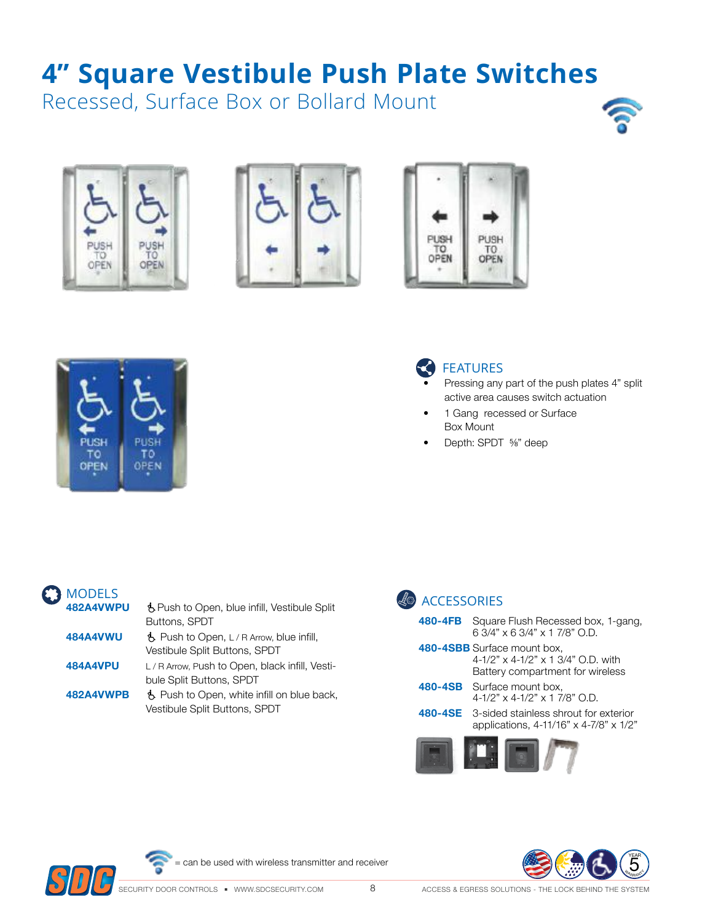# **4" Square Vestibule Push Plate Switches**

Recessed, Surface Box or Bollard Mount

![](_page_7_Picture_2.jpeg)

![](_page_7_Picture_3.jpeg)

![](_page_7_Picture_4.jpeg)

![](_page_7_Picture_5.jpeg)

![](_page_7_Picture_6.jpeg)

### **C** FEATURES

- Pressing any part of the push plates 4" split active area causes switch actuation
- 1 Gang recessed or Surface Box Mount
- Depth: SPDT ⅝" deep

| <b>MODELS</b>   |                                                           |
|-----------------|-----------------------------------------------------------|
| 482A4VWPU       | ₿ Push to Open, blue infill, Vestibule Split              |
|                 | Buttons, SPDT                                             |
| <b>484A4VWU</b> | $\ddot{\mathbf{b}}$ Push to Open, L/R Arrow, blue infill, |
|                 | Vestibule Split Buttons, SPDT                             |
| <b>484A4VPU</b> | L/R Arrow, Push to Open, black infill, Vesti-             |
|                 | bule Split Buttons, SPDT                                  |
| 482A4VWPB       | B. Push to Open, white infill on blue back,               |
|                 | <b>Vestibule Split Buttons, SPDT</b>                      |
|                 |                                                           |

| <b>ACCESSORIES</b> |                                                                                                       |
|--------------------|-------------------------------------------------------------------------------------------------------|
| 480-4FB            | Square Flush Recessed box, 1-gang,<br>6 3/4" x 6 3/4" x 1 7/8" O.D.                                   |
|                    | 480-4SBB Surface mount box,<br>4-1/2" x 4-1/2" x 1 3/4" O.D. with<br>Battery compartment for wireless |
|                    | 480-4SB Surface mount box,<br>$4-1/2$ " x $4-1/2$ " x 1 7/8" O.D.                                     |
|                    | <b>480-4SE</b> 3-sided stainless shrout for exterior<br>applications, 4-11/16" x 4-7/8" x 1/2"        |
|                    |                                                                                                       |

![](_page_7_Picture_13.jpeg)

= can be used with wireless transmitter and receiver

![](_page_7_Picture_15.jpeg)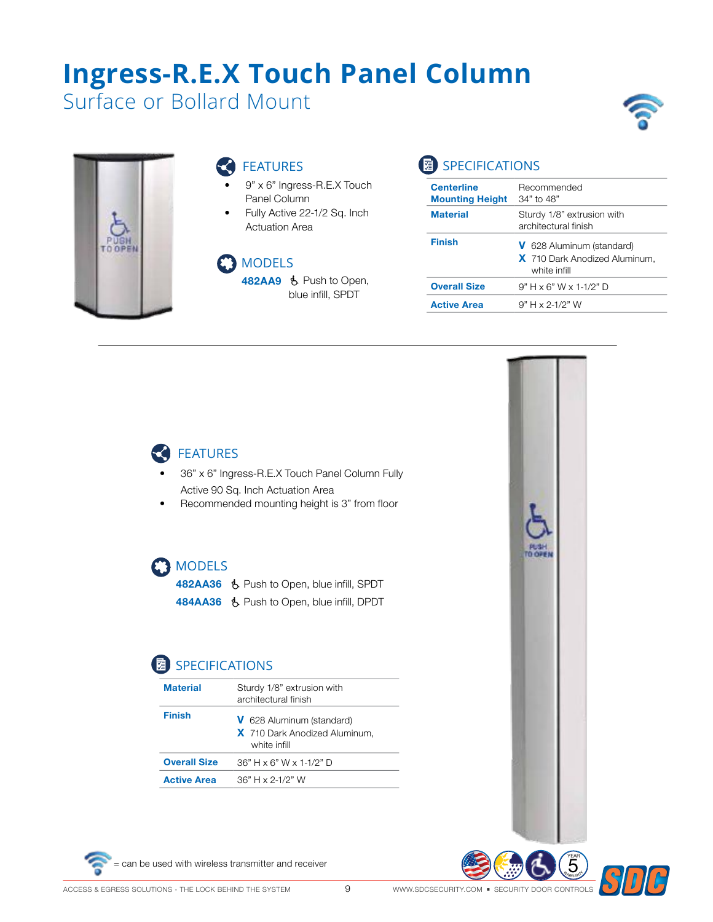# **Ingress-R.E.X Touch Panel Column**

Surface or Bollard Mount

![](_page_8_Picture_2.jpeg)

#### FEATURES

- 9" x 6" Ingress-R.E.X Touch Panel Column
- Fully Active 22-1/2 Sq. Inch Actuation Area

#### **B** MODELS

**482AA9** Ë Push to Open, blue infill, SPDT

### SPECIFICATIONS

| <b>Centerline</b><br><b>Mounting Height</b> | Recommended<br>$34"$ to $48"$                                              |
|---------------------------------------------|----------------------------------------------------------------------------|
| <b>Material</b>                             | Sturdy 1/8" extrusion with<br>architectural finish                         |
| <b>Finish</b>                               | V 628 Aluminum (standard)<br>X 710 Dark Anodized Aluminum,<br>white infill |
| <b>Overall Size</b>                         | $9" H \times 6" W \times 1-1/2" D$                                         |
| <b>Active Area</b>                          | $9" H x 2-1/2" W$                                                          |
|                                             |                                                                            |

6 G

![](_page_8_Picture_10.jpeg)

- 36" x 6" Ingress-R.E.X Touch Panel Column Fully Active 90 Sq. Inch Actuation Area
- Recommended mounting height is 3" from floor

#### **MODELS**

**482AA36** も Push to Open, blue infill, SPDT 484AA36 & Push to Open, blue infill, DPDT

### **SPECIFICATIONS**

| <b>Material</b>     | Sturdy 1/8" extrusion with<br>architectural finish                                |
|---------------------|-----------------------------------------------------------------------------------|
| Finish              | <b>V</b> 628 Aluminum (standard)<br>X 710 Dark Anodized Aluminum,<br>white infill |
| <b>Overall Size</b> | $36" H \times 6" W \times 1-1/2" D$                                               |
| <b>Active Area</b>  | $36" H \times 2-1/2" W$                                                           |

![](_page_8_Picture_17.jpeg)

![](_page_8_Picture_18.jpeg)

![](_page_8_Picture_19.jpeg)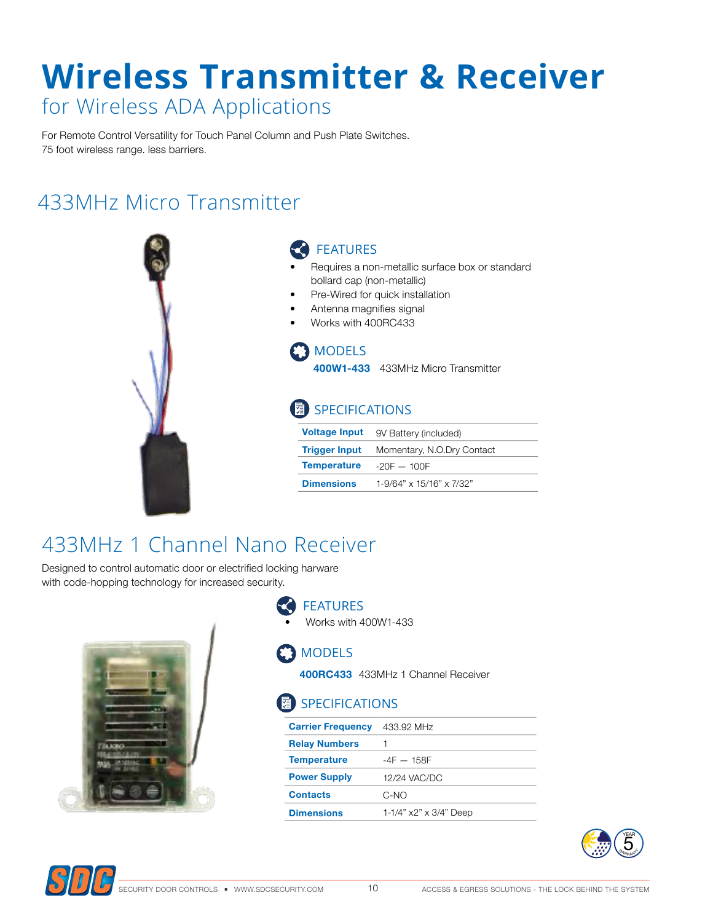# **Wireless Transmitter & Receiver** for Wireless ADA Applications

For Remote Control Versatility for Touch Panel Column and Push Plate Switches. 75 foot wireless range. less barriers.

## 433MHz Micro Transmitter

![](_page_9_Picture_3.jpeg)

#### FEATURES

- Requires a non-metallic surface box or standard bollard cap (non-metallic)
- Pre-Wired for quick installation
- Antenna magnifies signal
- Works with 400RC433

#### MODELS

**400W1-433** 433MHz Micro Transmitter

### SPECIFICATIONS

| <b>Voltage Input</b>             | 9V Battery (included)      |
|----------------------------------|----------------------------|
| <b>Trigger Input</b>             | Momentary, N.O.Dry Contact |
| <b>Temperature</b> $-20F - 100F$ |                            |
| <b>Dimensions</b>                | 1-9/64" x 15/16" x 7/32"   |

## 433MHz 1 Channel Nano Receiver

Designed to control automatic door or electrified locking harware with code-hopping technology for increased security.

![](_page_9_Picture_15.jpeg)

#### FEATURES • Works with 400W1-433

#### **B** MODELS

**400RC433** 433MHz 1 Channel Receiver

#### **图 SPECIFICATIONS**

| <b>Carrier Frequency</b> | 433.92 MHz                    |
|--------------------------|-------------------------------|
| <b>Relay Numbers</b>     |                               |
| <b>Temperature</b>       | $-4F - 158F$                  |
| <b>Power Supply</b>      | 12/24 VAC/DC                  |
| <b>Contacts</b>          | C-NO                          |
| <b>Dimensions</b>        | 1-1/4" $x2" \times 3/4"$ Deep |

![](_page_9_Picture_21.jpeg)

![](_page_9_Picture_22.jpeg)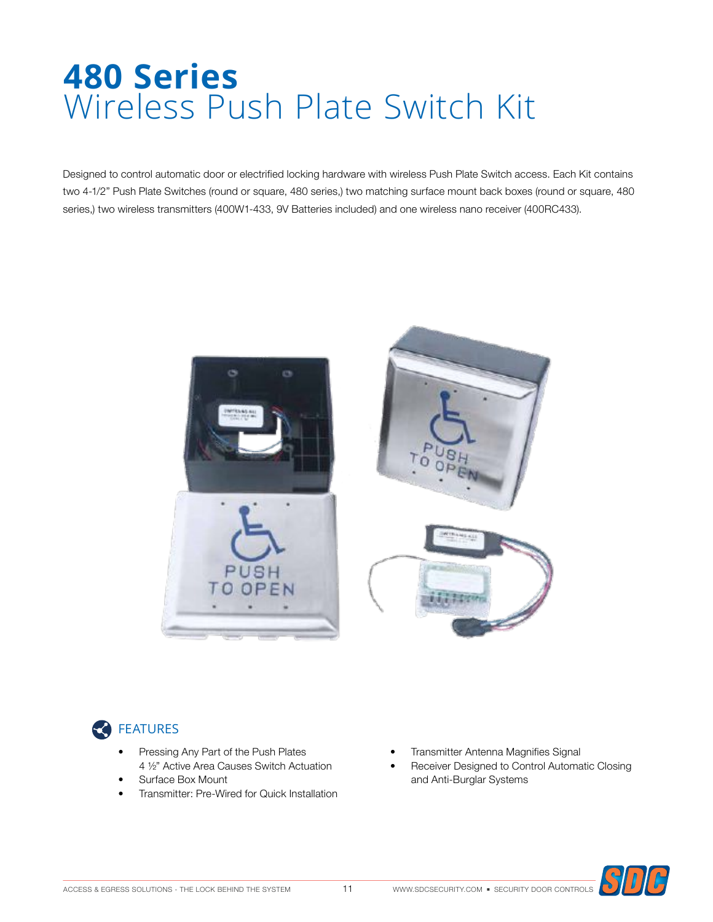# **480 Series** Wireless Push Plate Switch Kit

Designed to control automatic door or electrified locking hardware with wireless Push Plate Switch access. Each Kit contains two 4-1/2" Push Plate Switches (round or square, 480 series,) two matching surface mount back boxes (round or square, 480 series,) two wireless transmitters (400W1-433, 9V Batteries included) and one wireless nano receiver (400RC433).

![](_page_10_Picture_2.jpeg)

### **CO** FEATURES

- Pressing Any Part of the Push Plates 4 ½" Active Area Causes Switch Actuation
- Surface Box Mount
- Transmitter: Pre-Wired for Quick Installation
- Transmitter Antenna Magnifies Signal
- Receiver Designed to Control Automatic Closing and Anti-Burglar Systems

![](_page_10_Picture_9.jpeg)